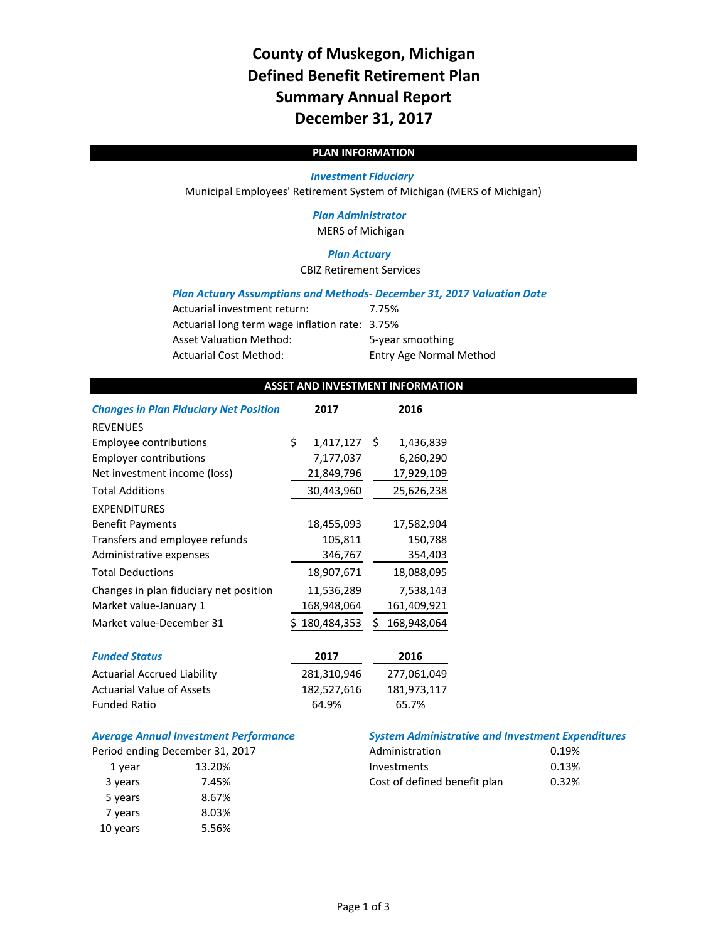# **County of Muskegon, Michigan Defined Benefit Retirement Plan Summary Annual Report December 31, 2017**

# **PLAN INFORMATION**

#### *Investment Fiduciary*

Municipal Employees' Retirement System of Michigan (MERS of Michigan)

## *Plan Administrator* MERS of Michigan

## *Plan Actuary*

CBIZ Retirement Services

#### *Plan Actuary Assumptions and Methods‐ December 31, 2017 Valuation Date*

| Actuarial investment return:                   | 7.75%                          |
|------------------------------------------------|--------------------------------|
| Actuarial long term wage inflation rate: 3.75% |                                |
| <b>Asset Valuation Method:</b>                 | 5-year smoothing               |
| <b>Actuarial Cost Method:</b>                  | <b>Entry Age Normal Method</b> |

# **ASSET AND INVESTMENT INFORMATION**

| <b>Changes in Plan Fiduciary Net Position</b> | 2017            | 2016              |
|-----------------------------------------------|-----------------|-------------------|
| <b>REVENUES</b>                               |                 |                   |
| Employee contributions                        | \$<br>1,417,127 | Ŝ.<br>1,436,839   |
| <b>Employer contributions</b>                 | 7,177,037       | 6,260,290         |
| Net investment income (loss)                  | 21,849,796      | 17,929,109        |
| <b>Total Additions</b>                        | 30,443,960      | 25,626,238        |
| <b>EXPENDITURES</b>                           |                 |                   |
| <b>Benefit Payments</b>                       | 18,455,093      | 17,582,904        |
| Transfers and employee refunds                | 105,811         | 150,788           |
| Administrative expenses                       | 346,767         | 354,403           |
| <b>Total Deductions</b>                       | 18,907,671      | 18,088,095        |
| Changes in plan fiduciary net position        | 11,536,289      | 7,538,143         |
| Market value-January 1                        | 168,948,064     | 161,409,921       |
| Market value-December 31                      | 180,484,353     | \$<br>168,948,064 |
|                                               |                 |                   |
| <b>Funded Status</b>                          | 2017            | 2016              |
| <b>Actuarial Accrued Liability</b>            | 281,310,946     | 277,061,049       |
| <b>Actuarial Value of Assets</b>              | 182,527,616     | 181,973,117       |
| <b>Funded Ratio</b>                           | 64.9%           | 65.7%             |

# *Average Annual Investment Performance System Administrative and Investment Expenditures*

| eriod ending December 31, 2017 |        |  |  |  |  |
|--------------------------------|--------|--|--|--|--|
| 1 year                         | 13.20% |  |  |  |  |
| 3 years                        | 7.45%  |  |  |  |  |
| 5 years                        | 8.67%  |  |  |  |  |
| 7 years                        | 8.03%  |  |  |  |  |
| 10 years                       | 5.56%  |  |  |  |  |

|         | Period ending December 31, 2017 | Administration               | 0.19% |
|---------|---------------------------------|------------------------------|-------|
| 1 vear  | 13.20%                          | Investments                  | 0.13% |
| 3 years | 7.45%                           | Cost of defined benefit plan | 0.32% |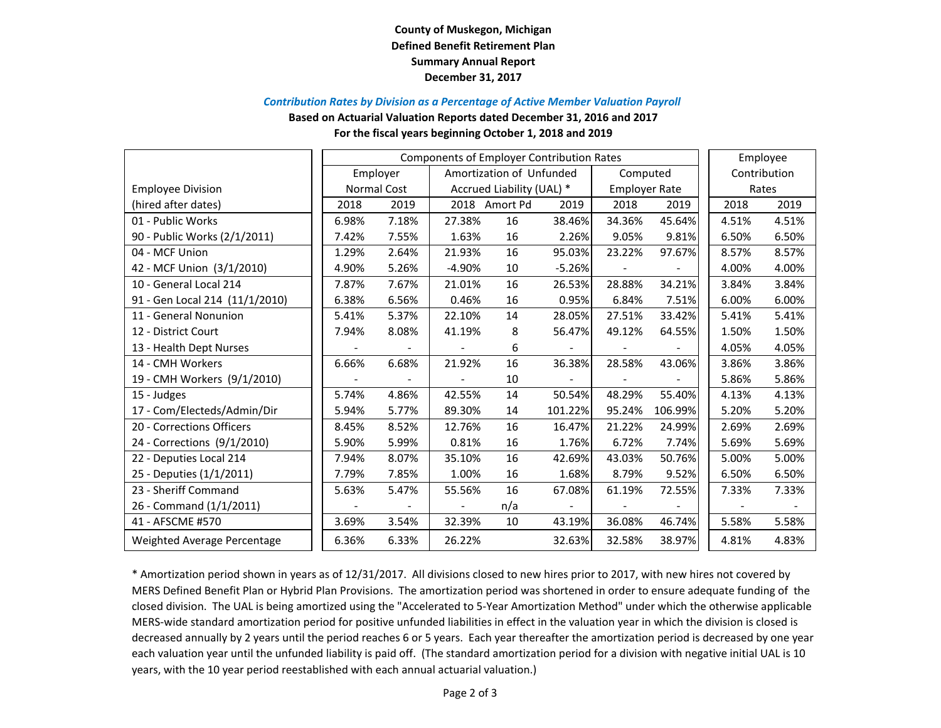# **County of Muskegon, Michigan Defined Benefit Retirement Plan Summary Annual Report December 31, 2017**

#### *Contribution Rates by Division as <sup>a</sup> Percentage of Active Member Valuation Payroll*

**Based on Actuarial Valuation Reports dated December 31, 2016 and 2017**

#### **For the fiscal years beginning October 1, 2018 and 2019**

|                                |             | <b>Components of Employer Contribution Rates</b> |                           |                          |          |                      |         |              | Employee |
|--------------------------------|-------------|--------------------------------------------------|---------------------------|--------------------------|----------|----------------------|---------|--------------|----------|
|                                |             | Employer                                         |                           | Amortization of Unfunded |          | Computed             |         | Contribution |          |
| <b>Employee Division</b>       | Normal Cost |                                                  | Accrued Liability (UAL) * |                          |          | <b>Employer Rate</b> |         | Rates        |          |
| (hired after dates)            | 2018        | 2019                                             |                           | 2018 Amort Pd            | 2019     | 2018                 | 2019    | 2018         | 2019     |
| 01 - Public Works              | 6.98%       | 7.18%                                            | 27.38%                    | 16                       | 38.46%   | 34.36%               | 45.64%  | 4.51%        | 4.51%    |
| 90 - Public Works (2/1/2011)   | 7.42%       | 7.55%                                            | 1.63%                     | 16                       | 2.26%    | 9.05%                | 9.81%   | 6.50%        | 6.50%    |
| 04 - MCF Union                 | 1.29%       | 2.64%                                            | 21.93%                    | 16                       | 95.03%   | 23.22%               | 97.67%  | 8.57%        | 8.57%    |
| 42 - MCF Union (3/1/2010)      | 4.90%       | 5.26%                                            | $-4.90%$                  | 10                       | $-5.26%$ |                      |         | 4.00%        | 4.00%    |
| 10 - General Local 214         | 7.87%       | 7.67%                                            | 21.01%                    | 16                       | 26.53%   | 28.88%               | 34.21%  | 3.84%        | 3.84%    |
| 91 - Gen Local 214 (11/1/2010) | 6.38%       | 6.56%                                            | 0.46%                     | 16                       | 0.95%    | 6.84%                | 7.51%   | 6.00%        | 6.00%    |
| 11 - General Nonunion          | 5.41%       | 5.37%                                            | 22.10%                    | 14                       | 28.05%   | 27.51%               | 33.42%  | 5.41%        | 5.41%    |
| 12 - District Court            | 7.94%       | 8.08%                                            | 41.19%                    | 8                        | 56.47%   | 49.12%               | 64.55%  | 1.50%        | 1.50%    |
| 13 - Health Dept Nurses        |             |                                                  |                           | 6                        |          |                      |         | 4.05%        | 4.05%    |
| 14 - CMH Workers               | 6.66%       | 6.68%                                            | 21.92%                    | 16                       | 36.38%   | 28.58%               | 43.06%  | 3.86%        | 3.86%    |
| 19 - CMH Workers (9/1/2010)    |             |                                                  |                           | 10                       |          |                      |         | 5.86%        | 5.86%    |
| 15 - Judges                    | 5.74%       | 4.86%                                            | 42.55%                    | 14                       | 50.54%   | 48.29%               | 55.40%  | 4.13%        | 4.13%    |
| 17 - Com/Electeds/Admin/Dir    | 5.94%       | 5.77%                                            | 89.30%                    | 14                       | 101.22%  | 95.24%               | 106.99% | 5.20%        | 5.20%    |
| 20 - Corrections Officers      | 8.45%       | 8.52%                                            | 12.76%                    | 16                       | 16.47%   | 21.22%               | 24.99%  | 2.69%        | 2.69%    |
| 24 - Corrections (9/1/2010)    | 5.90%       | 5.99%                                            | 0.81%                     | 16                       | 1.76%    | 6.72%                | 7.74%   | 5.69%        | 5.69%    |
| 22 - Deputies Local 214        | 7.94%       | 8.07%                                            | 35.10%                    | 16                       | 42.69%   | 43.03%               | 50.76%  | 5.00%        | 5.00%    |
| 25 - Deputies (1/1/2011)       | 7.79%       | 7.85%                                            | 1.00%                     | 16                       | 1.68%    | 8.79%                | 9.52%   | 6.50%        | 6.50%    |
| 23 - Sheriff Command           | 5.63%       | 5.47%                                            | 55.56%                    | 16                       | 67.08%   | 61.19%               | 72.55%  | 7.33%        | 7.33%    |
| 26 - Command (1/1/2011)        |             |                                                  | $\overline{\phantom{a}}$  | n/a                      |          |                      |         |              |          |
| 41 - AFSCME #570               | 3.69%       | 3.54%                                            | 32.39%                    | 10                       | 43.19%   | 36.08%               | 46.74%  | 5.58%        | 5.58%    |
| Weighted Average Percentage    | 6.36%       | 6.33%                                            | 26.22%                    |                          | 32.63%   | 32.58%               | 38.97%  | 4.81%        | 4.83%    |

\* Amortization period shown in years as of 12/31/2017. All divisions closed to new hires prior to 2017, with new hires not covered by MERS Defined Benefit Plan or Hybrid Plan Provisions. The amortization period was shortened in order to ensure adequate funding of the closed division. The UAL is being amortized using the "Accelerated to 5‐Year Amortization Method" under which the otherwise applicable MERS‐wide standard amortization period for positive unfunded liabilities in effect in the valuation year in which the division is closed is decreased annually by 2 years until the period reaches 6 or 5 years. Each year thereafter the amortization period is decreased by one year each valuation year until the unfunded liability is paid off. (The standard amortization period for <sup>a</sup> division with negative initial UAL is 10 years, with the 10 year period reestablished with each annual actuarial valuation.)